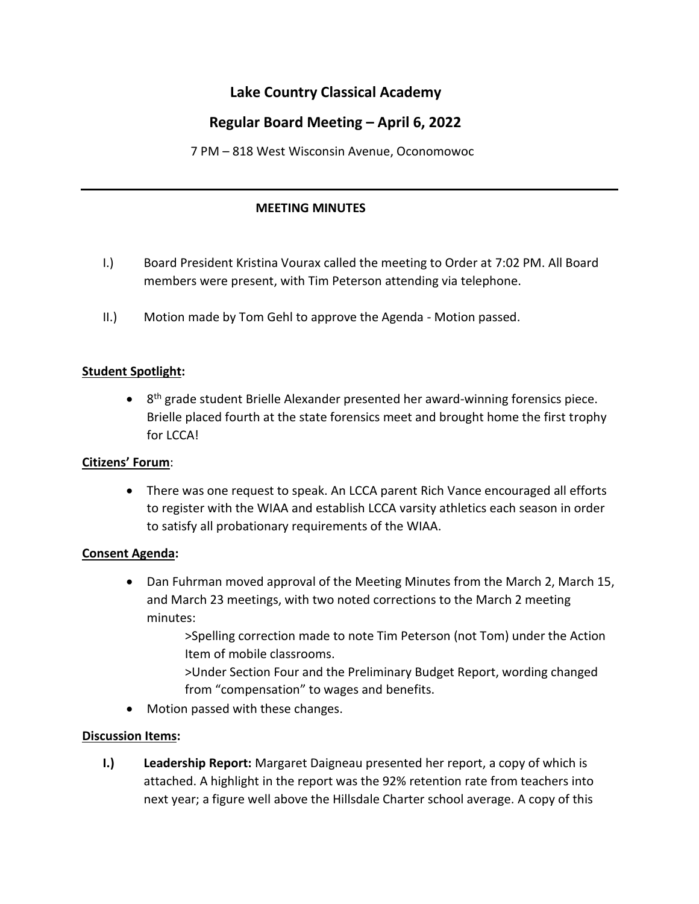# **Lake Country Classical Academy**

## **Regular Board Meeting – April 6, 2022**

7 PM – 818 West Wisconsin Avenue, Oconomowoc

### **MEETING MINUTES**

- I.) Board President Kristina Vourax called the meeting to Order at 7:02 PM. All Board members were present, with Tim Peterson attending via telephone.
- II.) Motion made by Tom Gehl to approve the Agenda Motion passed.

### **Student Spotlight:**

• 8<sup>th</sup> grade student Brielle Alexander presented her award-winning forensics piece. Brielle placed fourth at the state forensics meet and brought home the first trophy for LCCA!

### **Citizens' Forum**:

• There was one request to speak. An LCCA parent Rich Vance encouraged all efforts to register with the WIAA and establish LCCA varsity athletics each season in order to satisfy all probationary requirements of the WIAA.

### **Consent Agenda:**

- Dan Fuhrman moved approval of the Meeting Minutes from the March 2, March 15, and March 23 meetings, with two noted corrections to the March 2 meeting minutes:
	- >Spelling correction made to note Tim Peterson (not Tom) under the Action Item of mobile classrooms.
	- >Under Section Four and the Preliminary Budget Report, wording changed from "compensation" to wages and benefits.
- Motion passed with these changes.

### **Discussion Items:**

**I.) Leadership Report:** Margaret Daigneau presented her report, a copy of which is attached. A highlight in the report was the 92% retention rate from teachers into next year; a figure well above the Hillsdale Charter school average. A copy of this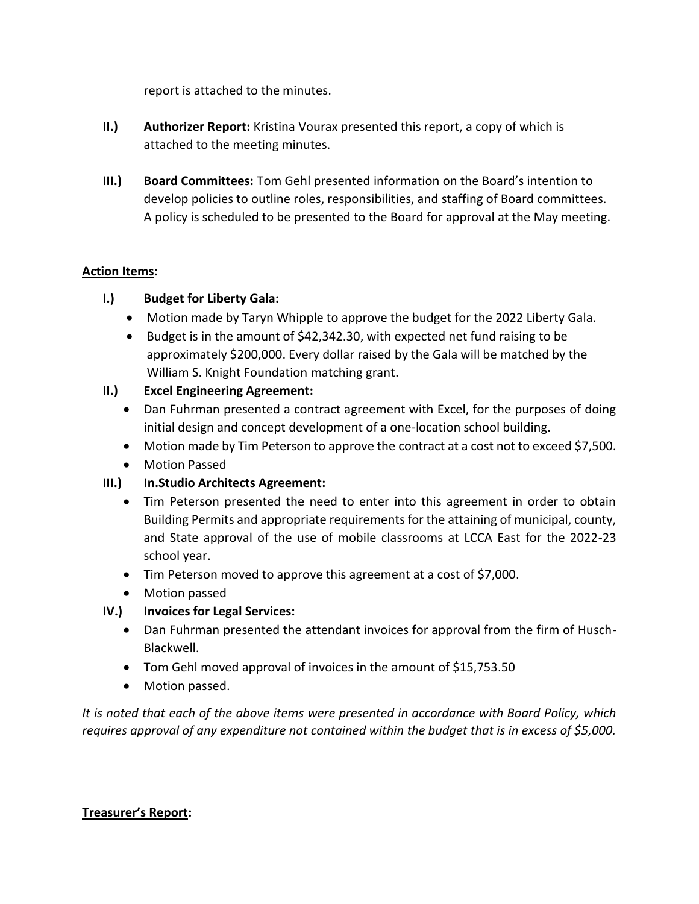report is attached to the minutes.

- **II.) Authorizer Report:** Kristina Vourax presented this report, a copy of which is attached to the meeting minutes.
- **III.) Board Committees:** Tom Gehl presented information on the Board's intention to develop policies to outline roles, responsibilities, and staffing of Board committees. A policy is scheduled to be presented to the Board for approval at the May meeting.

### **Action Items:**

### **I.) Budget for Liberty Gala:**

- Motion made by Taryn Whipple to approve the budget for the 2022 Liberty Gala.
- Budget is in the amount of \$42,342.30, with expected net fund raising to be approximately \$200,000. Every dollar raised by the Gala will be matched by the William S. Knight Foundation matching grant.

### **II.) Excel Engineering Agreement:**

- Dan Fuhrman presented a contract agreement with Excel, for the purposes of doing initial design and concept development of a one-location school building.
- Motion made by Tim Peterson to approve the contract at a cost not to exceed \$7,500.
- Motion Passed
- **III.) In.Studio Architects Agreement:**
	- Tim Peterson presented the need to enter into this agreement in order to obtain Building Permits and appropriate requirements for the attaining of municipal, county, and State approval of the use of mobile classrooms at LCCA East for the 2022-23 school year.
	- Tim Peterson moved to approve this agreement at a cost of \$7,000.
	- Motion passed

### **IV.) Invoices for Legal Services:**

- Dan Fuhrman presented the attendant invoices for approval from the firm of Husch-Blackwell.
- Tom Gehl moved approval of invoices in the amount of \$15,753.50
- Motion passed.

*It is noted that each of the above items were presented in accordance with Board Policy, which requires approval of any expenditure not contained within the budget that is in excess of \$5,000.*

### **Treasurer's Report:**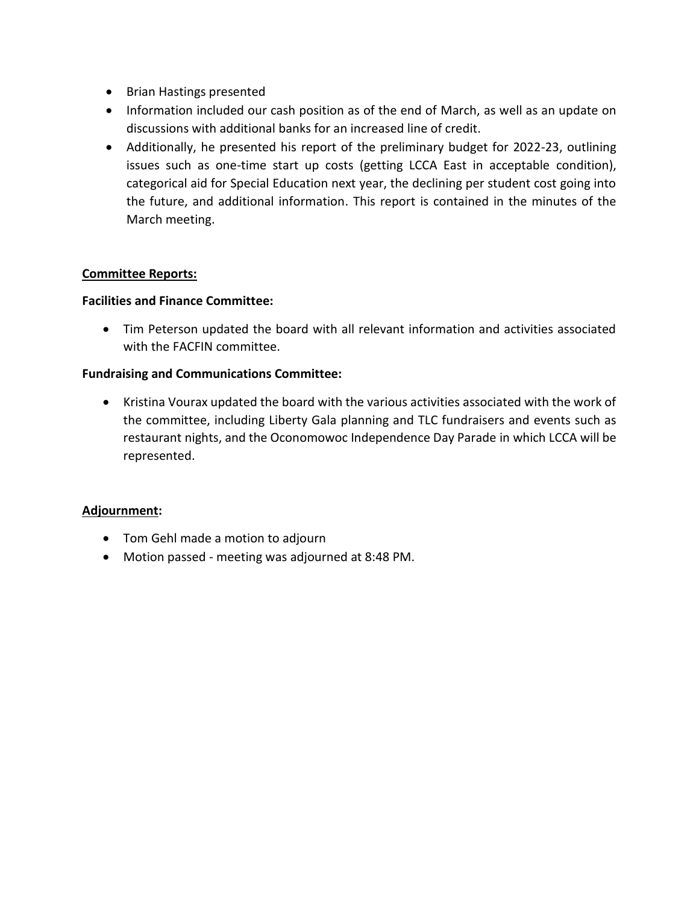- Brian Hastings presented
- Information included our cash position as of the end of March, as well as an update on discussions with additional banks for an increased line of credit.
- Additionally, he presented his report of the preliminary budget for 2022-23, outlining issues such as one-time start up costs (getting LCCA East in acceptable condition), categorical aid for Special Education next year, the declining per student cost going into the future, and additional information. This report is contained in the minutes of the March meeting.

### **Committee Reports:**

### **Facilities and Finance Committee:**

• Tim Peterson updated the board with all relevant information and activities associated with the FACFIN committee.

### **Fundraising and Communications Committee:**

• Kristina Vourax updated the board with the various activities associated with the work of the committee, including Liberty Gala planning and TLC fundraisers and events such as restaurant nights, and the Oconomowoc Independence Day Parade in which LCCA will be represented.

### **Adjournment:**

- Tom Gehl made a motion to adjourn
- Motion passed meeting was adjourned at 8:48 PM.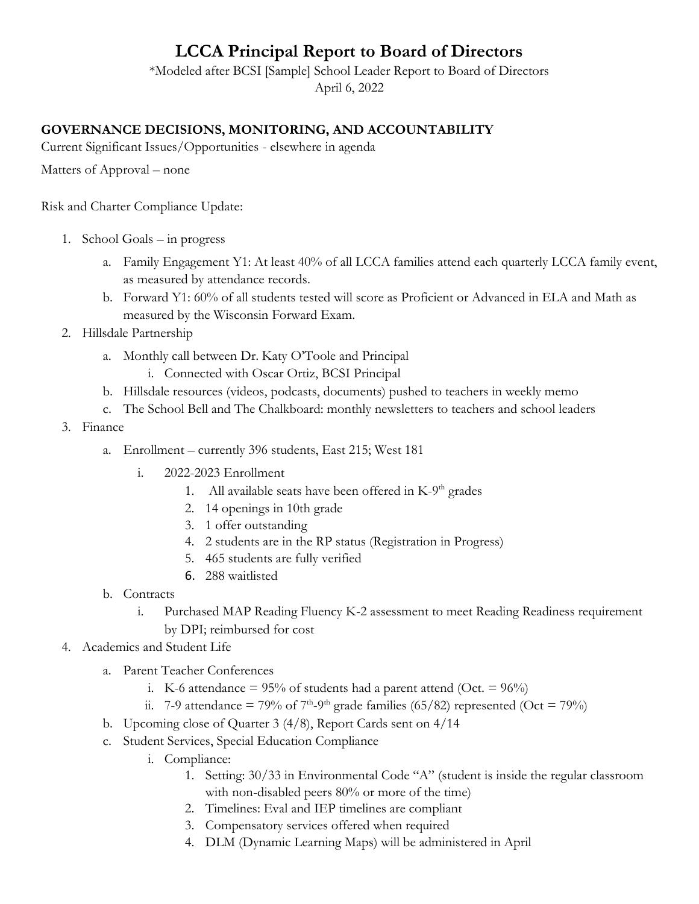# **LCCA Principal Report to Board of Directors**

\*Modeled after BCSI [Sample] School Leader Report to Board of Directors April 6, 2022

### **GOVERNANCE DECISIONS, MONITORING, AND ACCOUNTABILITY**

Current Significant Issues/Opportunities - elsewhere in agenda

Matters of Approval – none

Risk and Charter Compliance Update:

- 1. School Goals in progress
	- a. Family Engagement Y1: At least 40% of all LCCA families attend each quarterly LCCA family event, as measured by attendance records.
	- b. Forward Y1: 60% of all students tested will score as Proficient or Advanced in ELA and Math as measured by the Wisconsin Forward Exam.
- 2. Hillsdale Partnership
	- a. Monthly call between Dr. Katy O'Toole and Principal
		- i. Connected with Oscar Ortiz, BCSI Principal
	- b. Hillsdale resources (videos, podcasts, documents) pushed to teachers in weekly memo
	- c. The School Bell and The Chalkboard: monthly newsletters to teachers and school leaders
- 3. Finance
	- a. Enrollment currently 396 students, East 215; West 181
		- i. 2022-2023 Enrollment
			- 1. All available seats have been offered in K-9<sup>th</sup> grades
			- 2. 14 openings in 10th grade
			- 3. 1 offer outstanding
			- 4. 2 students are in the RP status (Registration in Progress)
			- 5. 465 students are fully verified
			- 6. 288 waitlisted
	- b. Contracts
		- i. Purchased MAP Reading Fluency K-2 assessment to meet Reading Readiness requirement by DPI; reimbursed for cost
- 4. Academics and Student Life
	- a. Parent Teacher Conferences
		- i. K-6 attendance =  $95\%$  of students had a parent attend (Oct. =  $96\%$ )
		- ii. 7-9 attendance = 79% of 7<sup>th</sup>-9<sup>th</sup> grade families (65/82) represented (Oct = 79%)
	- b. Upcoming close of Quarter 3 (4/8), Report Cards sent on 4/14
	- c. Student Services, Special Education Compliance
		- i. Compliance:
			- 1. Setting: 30/33 in Environmental Code "A" (student is inside the regular classroom with non-disabled peers 80% or more of the time)
			- 2. Timelines: Eval and IEP timelines are compliant
			- 3. Compensatory services offered when required
			- 4. DLM (Dynamic Learning Maps) will be administered in April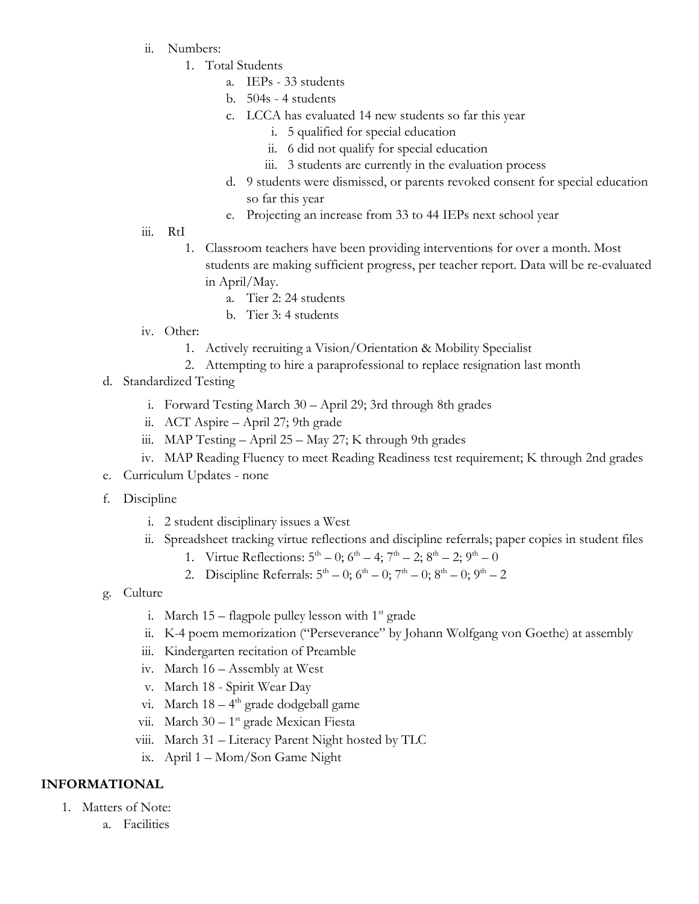- ii. Numbers:
	- 1. Total Students
		- a. IEPs 33 students
		- b. 504s 4 students
		- c. LCCA has evaluated 14 new students so far this year
			- i. 5 qualified for special education
			- ii. 6 did not qualify for special education
			- iii. 3 students are currently in the evaluation process
		- d. 9 students were dismissed, or parents revoked consent for special education so far this year
		- e. Projecting an increase from 33 to 44 IEPs next school year
- iii. RtI
	- 1. Classroom teachers have been providing interventions for over a month. Most students are making sufficient progress, per teacher report. Data will be re-evaluated in April/May.
		- a. Tier 2: 24 students
		- b. Tier 3: 4 students
- iv. Other:
	- 1. Actively recruiting a Vision/Orientation & Mobility Specialist
	- 2. Attempting to hire a paraprofessional to replace resignation last month
- d. Standardized Testing
	- i. Forward Testing March 30 April 29; 3rd through 8th grades
	- ii. ACT Aspire April 27; 9th grade
	- iii. MAP Testing  $-$  April 25  $-$  May 27; K through 9th grades
	- iv. MAP Reading Fluency to meet Reading Readiness test requirement; K through 2nd grades
- e. Curriculum Updates none
- f. Discipline
	- i. 2 student disciplinary issues a West
	- ii. Spreadsheet tracking virtue reflections and discipline referrals; paper copies in student files
		- 1. Virtue Reflections:  $5^{\text{th}} 0$ ;  $6^{\text{th}} 4$ ;  $7^{\text{th}} 2$ ;  $8^{\text{th}} 2$ ;  $9^{\text{th}} 0$
		- 2. Discipline Referrals:  $5^{\text{th}} 0$ ;  $6^{\text{th}} 0$ ;  $7^{\text{th}} 0$ ;  $8^{\text{th}} 0$ ;  $9^{\text{th}} 2$
- g. Culture
	- i. March  $15$  flagpole pulley lesson with  $1<sup>st</sup>$  grade
	- ii. K-4 poem memorization ("Perseverance" by Johann Wolfgang von Goethe) at assembly
	- iii. Kindergarten recitation of Preamble
	- iv. March 16 Assembly at West
	- v. March 18 Spirit Wear Day
	- vi. March 18 4<sup>th</sup> grade dodgeball game
	- vii. March 30 1<sup>st</sup> grade Mexican Fiesta
	- viii. March 31 Literacy Parent Night hosted by TLC
	- ix. April 1 Mom/Son Game Night

### **INFORMATIONAL**

- 1. Matters of Note:
	- a. Facilities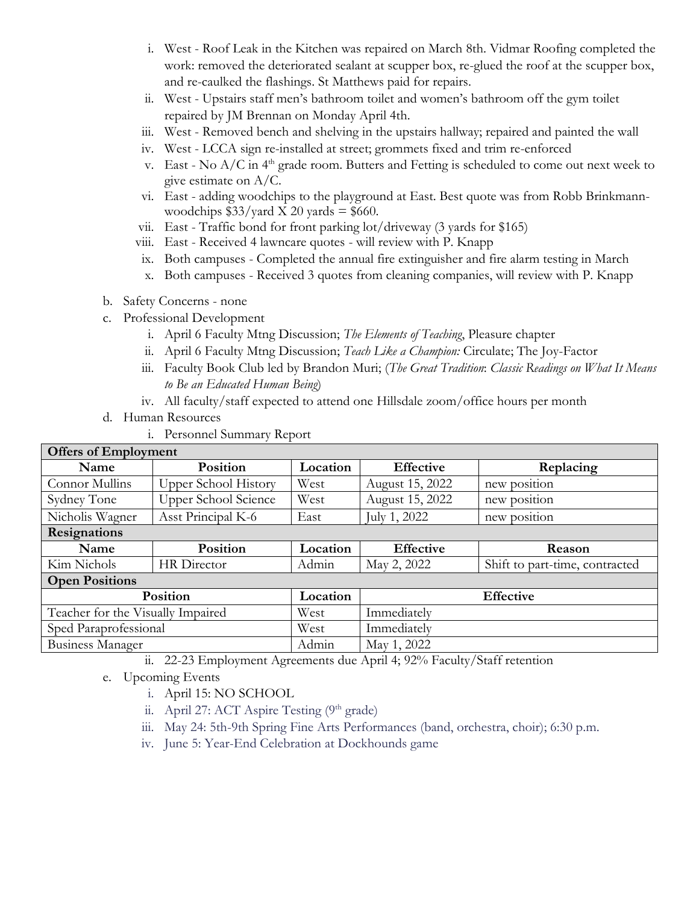- i. West Roof Leak in the Kitchen was repaired on March 8th. Vidmar Roofing completed the work: removed the deteriorated sealant at scupper box, re-glued the roof at the scupper box, and re-caulked the flashings. St Matthews paid for repairs.
- ii. West Upstairs staff men's bathroom toilet and women's bathroom off the gym toilet repaired by JM Brennan on Monday April 4th.
- iii. West Removed bench and shelving in the upstairs hallway; repaired and painted the wall
- iv. West LCCA sign re-installed at street; grommets fixed and trim re-enforced
- v. East No  $A/C$  in  $4<sup>th</sup>$  grade room. Butters and Fetting is scheduled to come out next week to give estimate on A/C.
- vi. East adding woodchips to the playground at East. Best quote was from Robb Brinkmannwoodchips  $$33/$ yard X 20 yards = \$660.
- vii. East Traffic bond for front parking lot/driveway (3 yards for \$165)
- viii. East Received 4 lawncare quotes will review with P. Knapp
- ix. Both campuses Completed the annual fire extinguisher and fire alarm testing in March
- x. Both campuses Received 3 quotes from cleaning companies, will review with P. Knapp
- b. Safety Concerns none
- c. Professional Development
	- i. April 6 Faculty Mtng Discussion; *The Elements of Teaching*, Pleasure chapter
	- ii. April 6 Faculty Mtng Discussion; *Teach Like a Champion:* Circulate; The Joy-Factor
	- iii. Faculty Book Club led by Brandon Muri; (*The Great Tradition*: *Classic Readings on What It Means to Be an Educated Human Being*)
	- iv. All faculty/staff expected to attend one Hillsdale zoom/office hours per month
- d. Human Resources
	- i. Personnel Summary Report

|  | <b>Offers of Employment</b> |  |
|--|-----------------------------|--|
|  |                             |  |

| OIIEIS OI EIIIDIOVIIIEIII             |                             |          |                  |                                |  |  |  |  |
|---------------------------------------|-----------------------------|----------|------------------|--------------------------------|--|--|--|--|
| Position<br>Name                      |                             | Location | <b>Effective</b> | Replacing                      |  |  |  |  |
| Connor Mullins                        | <b>Upper School History</b> | West     | August 15, 2022  | new position                   |  |  |  |  |
| Sydney Tone                           | <b>Upper School Science</b> | West     | August 15, 2022  | new position                   |  |  |  |  |
| Nicholis Wagner<br>Asst Principal K-6 |                             | East     | July 1, 2022     | new position                   |  |  |  |  |
| <b>Resignations</b>                   |                             |          |                  |                                |  |  |  |  |
| Name                                  | Position                    | Location | <b>Effective</b> | Reason                         |  |  |  |  |
| Kim Nichols                           | HR Director                 | Admin    | May 2, 2022      | Shift to part-time, contracted |  |  |  |  |
| <b>Open Positions</b>                 |                             |          |                  |                                |  |  |  |  |
|                                       | Position                    | Location | <b>Effective</b> |                                |  |  |  |  |
| Teacher for the Visually Impaired     |                             | West     | Immediately      |                                |  |  |  |  |
| Sped Paraprofessional                 |                             | West     | Immediately      |                                |  |  |  |  |
| Business Manager                      |                             | Admin    | May 1, 2022      |                                |  |  |  |  |

ii. 22-23 Employment Agreements due April 4; 92% Faculty/Staff retention

- e. Upcoming Events
	- i. April 15: NO SCHOOL
	- ii. April 27: ACT Aspire Testing  $(9<sup>th</sup> \text{ grade})$
	- iii. May 24: 5th-9th Spring Fine Arts Performances (band, orchestra, choir); 6:30 p.m.
	- iv. June 5: Year-End Celebration at Dockhounds game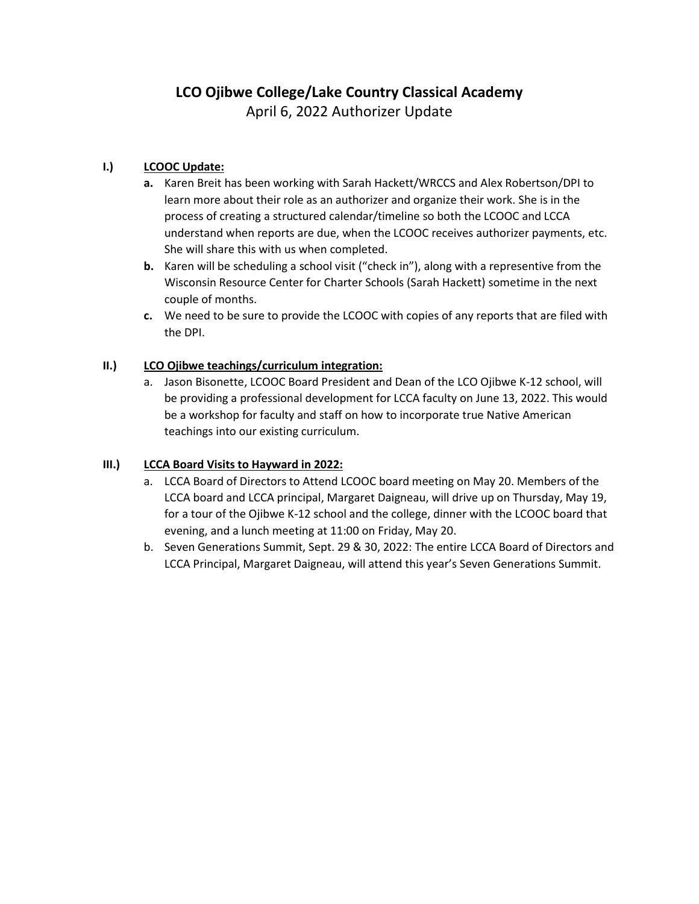### **I.) LCOOC Update:**

- **a.** Karen Breit has been working with Sarah Hackett/WRCCS and Alex Robertson/DPI to learn more about their role as an authorizer and organize their work. She is in the process of creating a structured calendar/timeline so both the LCOOC and LCCA understand when reports are due, when the LCOOC receives authorizer payments, etc. She will share this with us when completed.
- **b.** Karen will be scheduling a school visit ("check in"), along with a representive from the Wisconsin Resource Center for Charter Schools (Sarah Hackett) sometime in the next couple of months.
- **c.** We need to be sure to provide the LCOOC with copies of any reports that are filed with the DPI.

### **II.) LCO Ojibwe teachings/curriculum integration:**

a. Jason Bisonette, LCOOC Board President and Dean of the LCO Ojibwe K-12 school, will be providing a professional development for LCCA faculty on June 13, 2022. This would be a workshop for faculty and staff on how to incorporate true Native American teachings into our existing curriculum.

### **III.) LCCA Board Visits to Hayward in 2022:**

- a. LCCA Board of Directors to Attend LCOOC board meeting on May 20. Members of the LCCA board and LCCA principal, Margaret Daigneau, will drive up on Thursday, May 19, for a tour of the Ojibwe K-12 school and the college, dinner with the LCOOC board that evening, and a lunch meeting at 11:00 on Friday, May 20.
- b. Seven Generations Summit, Sept. 29 & 30, 2022: The entire LCCA Board of Directors and LCCA Principal, Margaret Daigneau, will attend this year's Seven Generations Summit.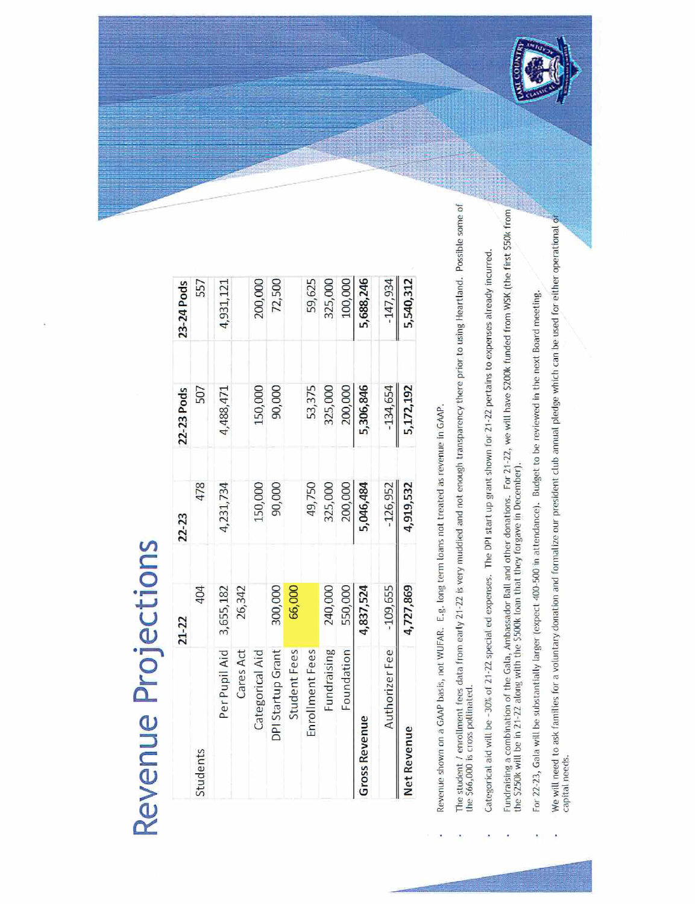# Revenue Projections

|                        | $21 - 22$ | 22-23      | 22-23 Pods | 23-24 Pods |
|------------------------|-----------|------------|------------|------------|
| Students               | 404       | 478        | 507        | 557        |
| Per Pupil Aid          | 3,655,182 | 4,231,734  | 4,488,471  | 4,931,121  |
| Cares Act              | 26,342    |            |            |            |
| Categorical Aid        |           | 150,000    | 150,000    | 200,000    |
| DPI Startup Grant      | 300,000   | 90,000     | 90,000     | 72,500     |
| <b>Student</b> Fees    | 66,000    |            |            |            |
| Enrollment Fees        |           | 49,750     | 53,375     | 59,625     |
| Fundraising            | 240,000   | 325,000    | 325,000    | 325,000    |
| Foundation             | 550,000   | 200,000    | 200,000    | 100,000    |
| <b>Gross Revenue</b>   | 4,837,524 | 5,046,484  | 5,306,846  | 5,688,246  |
| AuthorizerFee -109,655 |           | $-126,952$ | $-134,654$ | $-147,934$ |
| <b>Net Revenue</b>     | 4,727,869 | 4,919,532  | 5,172,192  | 5,540,312  |

Revenue shown on a GAAP basis, not WUFAR. E.g. long term loans not treated as revenue in GAAP.

The student / enrollment fees data from early 21-22 is very muddied and not enough transparency there prior to using Heartland. Possible some of<br>the \$66,000 is cross pollinated.

Categorical aid will be -30% of 21-22 special ed expenses. The DPI start up grant shown for 21-22 pertains to expenses already incurred.

Fundraising a combination of the Gala, Ambassador Ball and other donations. For 21-22, we will have \$200k funded from WSK (the first \$50k from )<br>the \$250k will be in 21-22 along with the \$500k loan that they forgave in De

For 22-23, Gala will be substantially larger (expect 400-500 in attendance). Budget to be reviewed in the next Board meeting.

We will need to ask families for a voluntary donation and formalize our president club annual pledge which can be used for either operational of<br>capital needs.